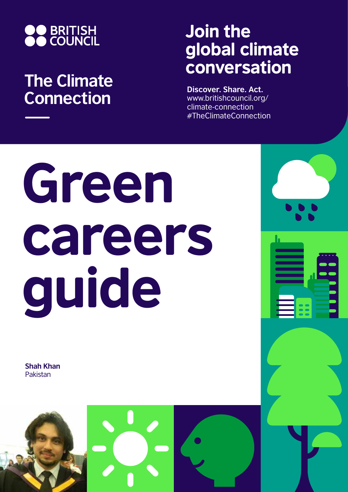

## **The Climate Connection**

## Join the global climate conversation

**Discover. Share. Act.** www.britishcouncil.org/ climate-connection #TheClimateConnection

# Green careers guide

**Shah Khan** Pakistan

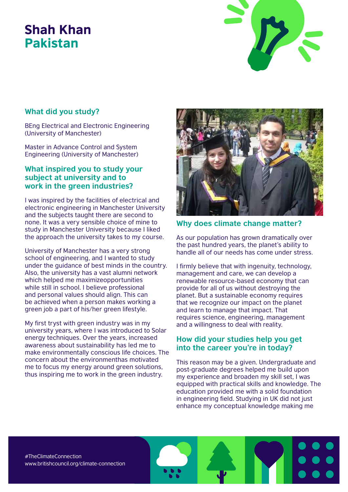### Shah Khan Pakistan



#### **What did you study?**

BEng Electrical and Electronic Engineering (University of Manchester)

Master in Advance Control and System Engineering (University of Manchester)

#### **What inspired you to study your subject at university and to work in the green industries?**

I was inspired by the facilities of electrical and electronic engineering in Manchester University and the subjects taught there are second to none. It was a very sensible choice of mine to study in Manchester University because I liked the approach the university takes to my course.

University of Manchester has a very strong school of engineering, and I wanted to study under the guidance of best minds in the country. Also, the university has a vast alumni network which helped me maximizeopportunities while still in school. I believe professional and personal values should align. This can be achieved when a person makes working a green job a part of his/her green lifestyle.

My first tryst with green industry was in my university years, where I was introduced to Solar energy techniques. Over the years, increased awareness about sustainability has led me to make environmentally conscious life choices. The concern about the environmenthas motivated me to focus my energy around green solutions, thus inspiring me to work in the green industry.



#### **Why does climate change matter?**

As our population has grown dramatically over the past hundred years, the planet's ability to handle all of our needs has come under stress.

I firmly believe that with ingenuity, technology, management and care, we can develop a renewable resource-based economy that can provide for all of us without destroying the planet. But a sustainable economy requires that we recognize our impact on the planet and learn to manage that impact. That requires science, engineering, management and a willingness to deal with reality.

#### **How did your studies help you get into the career you're in today?**

This reason may be a given. Undergraduate and post-graduate degrees helped me build upon my experience and broaden my skill set, I was equipped with practical skills and knowledge. The education provided me with a solid foundation in engineering field. Studying in UK did not just enhance my conceptual knowledge making me

#TheClimateConnection www.britishcouncil.org/climate-connection

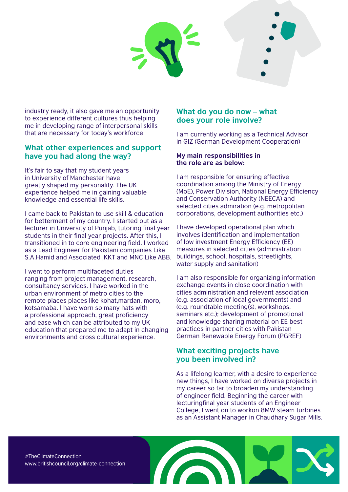

industry ready, it also gave me an opportunity to experience different cultures thus helping me in developing range of interpersonal skills that are necessary for today's workforce

#### **What other experiences and support have you had along the way?**

It's fair to say that my student years in University of Manchester have greatly shaped my personality. The UK experience helped me in gaining valuable knowledge and essential life skills.

I came back to Pakistan to use skill & education for betterment of my country. I started out as a lecturer in University of Punjab, tutoring final year students in their final year projects. After this, I transitioned in to core engineering field. I worked as a Lead Engineer for Pakistani companies Like S.A.Hamid and Associated ,KKT and MNC Like ABB.

I went to perform multifaceted duties ranging from project management, research, consultancy services. I have worked in the urban environment of metro cities to the remote places places like kohat,mardan, moro, kotsamaba. I have worn so many hats with a professional approach, great proficiency and ease which can be attributed to my UK education that prepared me to adapt in changing environments and cross cultural experience.

#### **What do you do now – what does your role involve?**

I am currently working as a Technical Advisor in GIZ (German Development Cooperation)

#### **My main responsibilities in the role are as below:**

I am responsible for ensuring effective coordination among the Ministry of Energy (MoE), Power Division, National Energy Efficiency and Conservation Authority (NEECA) and selected cities admiration (e.g. metropolitan corporations, development authorities etc.)

I have developed operational plan which involves identification and implementation of low investment Energy Efficiency (EE) measures in selected cities (administration buildings, school, hospitals, streetlights, water supply and sanitation)

I am also responsible for organizing information exchange events in close coordination with cities administration and relevant association (e.g. association of local governments) and (e.g. roundtable meeting(s), workshops. seminars etc.); development of promotional and knowledge sharing material on EE best practices in partner cities with Pakistan German Renewable Energy Forum (PGREF)

#### **What exciting projects have you been involved in?**

As a lifelong learner, with a desire to experience new things, I have worked on diverse projects in my career so far to broaden my understanding of engineer field. Beginning the career with lecturingfinal year students of an Engineer College, I went on to workon 8MW steam turbines as an Assistant Manager in Chaudhary Sugar Mills.

#TheClimateConnection www.britishcouncil.org/climate-connection